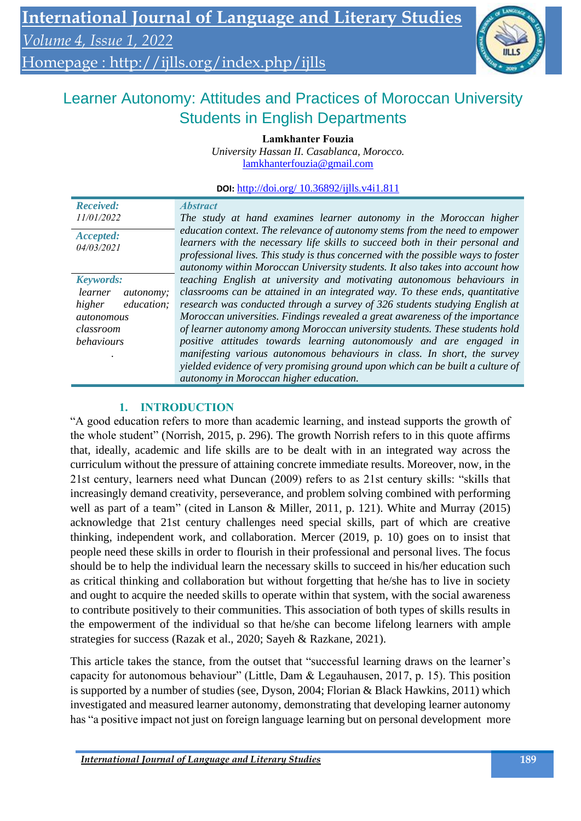# Homepage :<http://ijlls.org/index.php/ijlls>



# Learner Autonomy: Attitudes and Practices of Moroccan University Students in English Departments

**Lamkhanter Fouzia**

*University Hassan II. Casablanca, Morocco.* [lamkhanterfouzia@gmail.com](mailto:lamkhanterfouzia@gmail.com)

**DOI:** http://doi.org/ 10.36892/ijlls.v4i1.811

| <b>Received:</b>             | <i><b>Abstract</b></i>                                                                                                                                                                                                                                                                                                            |
|------------------------------|-----------------------------------------------------------------------------------------------------------------------------------------------------------------------------------------------------------------------------------------------------------------------------------------------------------------------------------|
| 11/01/2022                   | The study at hand examines learner autonomy in the Moroccan higher                                                                                                                                                                                                                                                                |
| Accepted:<br>04/03/2021      | education context. The relevance of autonomy stems from the need to empower<br>learners with the necessary life skills to succeed both in their personal and<br>professional lives. This study is thus concerned with the possible ways to foster<br>autonomy within Moroccan University students. It also takes into account how |
| <b>Keywords:</b>             | teaching English at university and motivating autonomous behaviours in                                                                                                                                                                                                                                                            |
| learner<br><i>autonomy</i> : | classrooms can be attained in an integrated way. To these ends, quantitative                                                                                                                                                                                                                                                      |
| higher<br>education;         | research was conducted through a survey of 326 students studying English at                                                                                                                                                                                                                                                       |
| autonomous                   | Moroccan universities. Findings revealed a great awareness of the importance                                                                                                                                                                                                                                                      |
| classroom                    | of learner autonomy among Moroccan university students. These students hold                                                                                                                                                                                                                                                       |
| <i>behaviours</i>            | positive attitudes towards learning autonomously and are engaged in                                                                                                                                                                                                                                                               |
|                              | manifesting various autonomous behaviours in class. In short, the survey                                                                                                                                                                                                                                                          |
|                              | yielded evidence of very promising ground upon which can be built a culture of                                                                                                                                                                                                                                                    |
|                              | autonomy in Moroccan higher education.                                                                                                                                                                                                                                                                                            |

## **1. INTRODUCTION**

"A good education refers to more than academic learning, and instead supports the growth of the whole student" (Norrish, 2015, p. 296). The growth Norrish refers to in this quote affirms that, ideally, academic and life skills are to be dealt with in an integrated way across the curriculum without the pressure of attaining concrete immediate results. Moreover, now, in the 21st century, learners need what Duncan (2009) refers to as 21st century skills: "skills that increasingly demand creativity, perseverance, and problem solving combined with performing well as part of a team" (cited in Lanson & Miller, 2011, p. 121). White and Murray (2015) acknowledge that 21st century challenges need special skills, part of which are creative thinking, independent work, and collaboration. Mercer (2019, p. 10) goes on to insist that people need these skills in order to flourish in their professional and personal lives. The focus should be to help the individual learn the necessary skills to succeed in his/her education such as critical thinking and collaboration but without forgetting that he/she has to live in society and ought to acquire the needed skills to operate within that system, with the social awareness to contribute positively to their communities. This association of both types of skills results in the empowerment of the individual so that he/she can become lifelong learners with ample strategies for success (Razak et al., 2020; Sayeh & Razkane, 2021).

This article takes the stance, from the outset that "successful learning draws on the learner's capacity for autonomous behaviour" (Little, Dam & Legauhausen, 2017, p. 15). This position is supported by a number of studies (see, Dyson, 2004; Florian & Black Hawkins, 2011) which investigated and measured learner autonomy, demonstrating that developing learner autonomy has "a positive impact not just on foreign language learning but on personal development more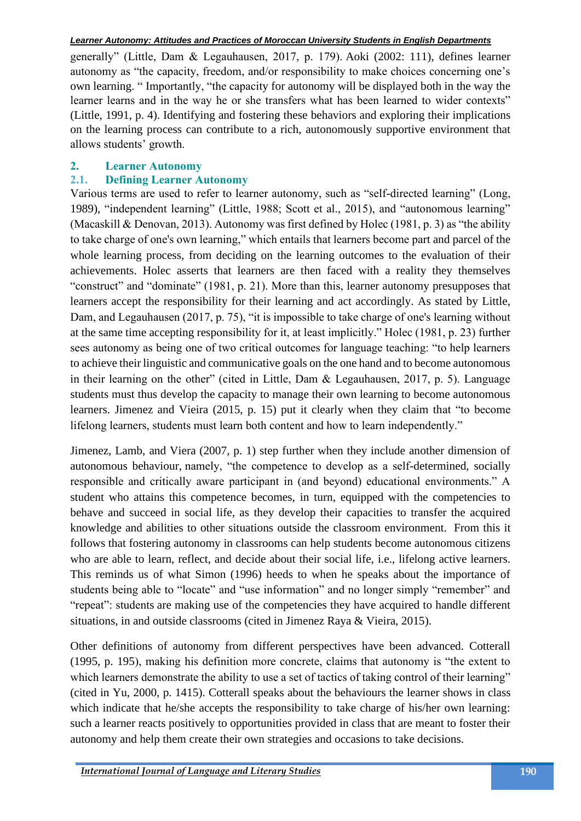generally" (Little, Dam & Legauhausen, 2017, p. 179). Aoki (2002: 111), defines learner autonomy as "the capacity, freedom, and/or responsibility to make choices concerning one's own learning. " Importantly, "the capacity for autonomy will be displayed both in the way the learner learns and in the way he or she transfers what has been learned to wider contexts" (Little, 1991, p. 4). Identifying and fostering these behaviors and exploring their implications on the learning process can contribute to a rich, autonomously supportive environment that allows students' growth.

#### **2. Learner Autonomy**

### **2.1. Defining Learner Autonomy**

Various terms are used to refer to learner autonomy, such as "self-directed learning" (Long, 1989), "independent learning" (Little, 1988; Scott et al., 2015), and "autonomous learning" (Macaskill & Denovan, 2013). Autonomy was first defined by Holec (1981, p. 3) as "the ability to take charge of one's own learning," which entails that learners become part and parcel of the whole learning process, from deciding on the learning outcomes to the evaluation of their achievements. Holec asserts that learners are then faced with a reality they themselves "construct" and "dominate" (1981, p. 21). More than this, learner autonomy presupposes that learners accept the responsibility for their learning and act accordingly. As stated by Little, Dam, and Legauhausen (2017, p. 75), "it is impossible to take charge of one's learning without at the same time accepting responsibility for it, at least implicitly." Holec (1981, p. 23) further sees autonomy as being one of two critical outcomes for language teaching: "to help learners to achieve their linguistic and communicative goals on the one hand and to become autonomous in their learning on the other" (cited in Little, Dam & Legauhausen, 2017, p. 5). Language students must thus develop the capacity to manage their own learning to become autonomous learners. Jimenez and Vieira (2015, p. 15) put it clearly when they claim that "to become lifelong learners, students must learn both content and how to learn independently."

Jimenez, Lamb, and Viera (2007, p. 1) step further when they include another dimension of autonomous behaviour, namely, "the competence to develop as a self-determined, socially responsible and critically aware participant in (and beyond) educational environments." A student who attains this competence becomes, in turn, equipped with the competencies to behave and succeed in social life, as they develop their capacities to transfer the acquired knowledge and abilities to other situations outside the classroom environment. From this it follows that fostering autonomy in classrooms can help students become autonomous citizens who are able to learn, reflect, and decide about their social life, i.e., lifelong active learners. This reminds us of what Simon (1996) heeds to when he speaks about the importance of students being able to "locate" and "use information" and no longer simply "remember" and "repeat": students are making use of the competencies they have acquired to handle different situations, in and outside classrooms (cited in Jimenez Raya & Vieira, 2015).

Other definitions of autonomy from different perspectives have been advanced. Cotterall (1995, p. 195), making his definition more concrete, claims that autonomy is "the extent to which learners demonstrate the ability to use a set of tactics of taking control of their learning" (cited in Yu, 2000, p. 1415). Cotterall speaks about the behaviours the learner shows in class which indicate that he/she accepts the responsibility to take charge of his/her own learning: such a learner reacts positively to opportunities provided in class that are meant to foster their autonomy and help them create their own strategies and occasions to take decisions.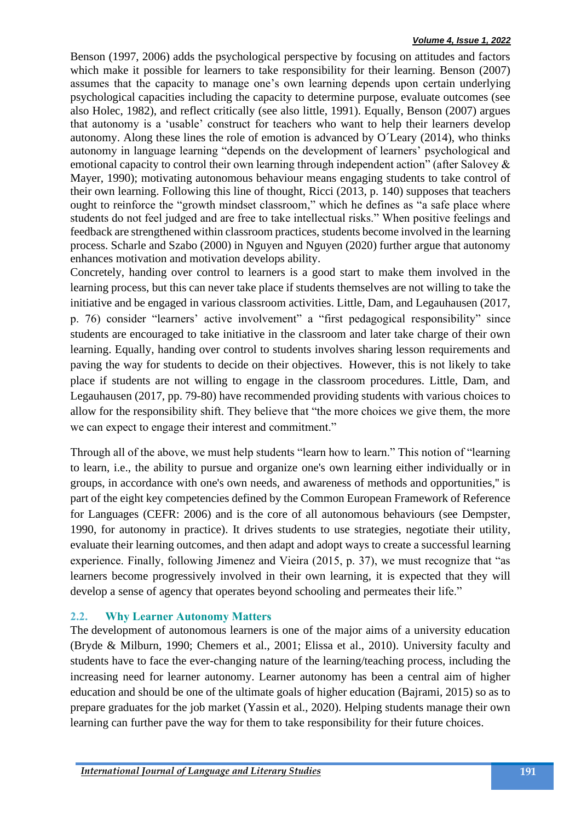Benson (1997, 2006) adds the psychological perspective by focusing on attitudes and factors which make it possible for learners to take responsibility for their learning. Benson (2007) assumes that the capacity to manage one's own learning depends upon certain underlying psychological capacities including the capacity to determine purpose, evaluate outcomes (see also Holec, 1982), and reflect critically (see also little, 1991). Equally, Benson (2007) argues that autonomy is a 'usable' construct for teachers who want to help their learners develop autonomy. Along these lines the role of emotion is advanced by O´Leary (2014), who thinks autonomy in language learning "depends on the development of learners' psychological and emotional capacity to control their own learning through independent action" (after Salovey & Mayer, 1990); motivating autonomous behaviour means engaging students to take control of their own learning. Following this line of thought, Ricci (2013, p. 140) supposes that teachers ought to reinforce the "growth mindset classroom," which he defines as "a safe place where students do not feel judged and are free to take intellectual risks." When positive feelings and feedback are strengthened within classroom practices, students become involved in the learning process. Scharle and Szabo (2000) in Nguyen and Nguyen (2020) further argue that autonomy enhances motivation and motivation develops ability.

Concretely, handing over control to learners is a good start to make them involved in the learning process, but this can never take place if students themselves are not willing to take the initiative and be engaged in various classroom activities. Little, Dam, and Legauhausen (2017, p. 76) consider "learners' active involvement" a "first pedagogical responsibility" since students are encouraged to take initiative in the classroom and later take charge of their own learning. Equally, handing over control to students involves sharing lesson requirements and paving the way for students to decide on their objectives. However, this is not likely to take place if students are not willing to engage in the classroom procedures. Little, Dam, and Legauhausen (2017, pp. 79-80) have recommended providing students with various choices to allow for the responsibility shift. They believe that "the more choices we give them, the more we can expect to engage their interest and commitment."

Through all of the above, we must help students "learn how to learn." This notion of "learning to learn, i.e., the ability to pursue and organize one's own learning either individually or in groups, in accordance with one's own needs, and awareness of methods and opportunities,'' is part of the eight key competencies defined by the Common European Framework of Reference for Languages (CEFR: 2006) and is the core of all autonomous behaviours (see Dempster, 1990, for autonomy in practice). It drives students to use strategies, negotiate their utility, evaluate their learning outcomes, and then adapt and adopt ways to create a successful learning experience. Finally, following Jimenez and Vieira (2015, p. 37), we must recognize that "as learners become progressively involved in their own learning, it is expected that they will develop a sense of agency that operates beyond schooling and permeates their life."

## **2.2. Why Learner Autonomy Matters**

The development of autonomous learners is one of the major aims of a university education (Bryde & Milburn, 1990; Chemers et al., 2001; Elissa et al., 2010). University faculty and students have to face the ever-changing nature of the learning/teaching process, including the increasing need for learner autonomy. Learner autonomy has been a central aim of higher education and should be one of the ultimate goals of higher education (Bajrami, 2015) so as to prepare graduates for the job market (Yassin et al., 2020). Helping students manage their own learning can further pave the way for them to take responsibility for their future choices.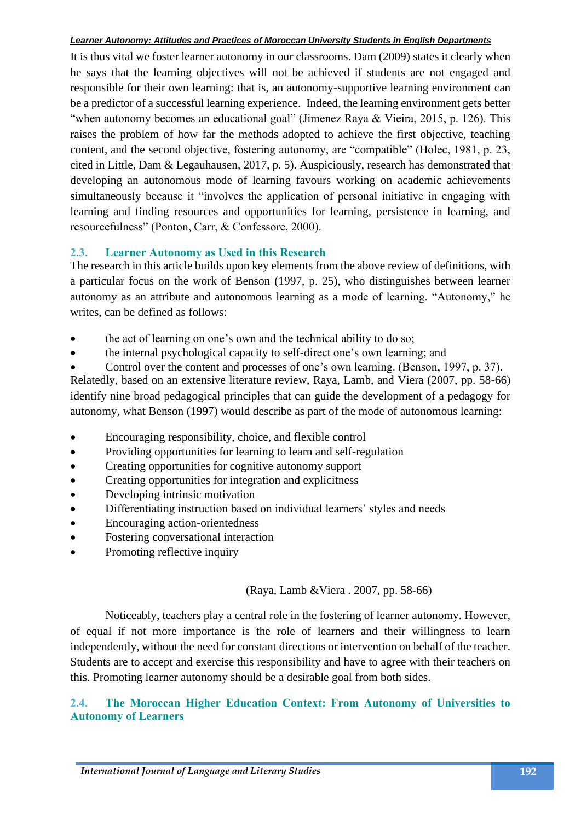It is thus vital we foster learner autonomy in our classrooms. Dam (2009) states it clearly when he says that the learning objectives will not be achieved if students are not engaged and responsible for their own learning: that is, an autonomy-supportive learning environment can be a predictor of a successful learning experience. Indeed, the learning environment gets better "when autonomy becomes an educational goal" (Jimenez Raya & Vieira, 2015, p. 126). This raises the problem of how far the methods adopted to achieve the first objective, teaching content, and the second objective, fostering autonomy, are "compatible" (Holec, 1981, p. 23, cited in Little, Dam & Legauhausen, 2017, p. 5). Auspiciously, research has demonstrated that developing an autonomous mode of learning favours working on academic achievements simultaneously because it "involves the application of personal initiative in engaging with learning and finding resources and opportunities for learning, persistence in learning, and resourcefulness" (Ponton, Carr, & Confessore, 2000).

### **2.3. Learner Autonomy as Used in this Research**

The research in this article builds upon key elements from the above review of definitions, with a particular focus on the work of Benson (1997, p. 25), who distinguishes between learner autonomy as an attribute and autonomous learning as a mode of learning. "Autonomy," he writes, can be defined as follows:

- the act of learning on one's own and the technical ability to do so;
- the internal psychological capacity to self-direct one's own learning; and

• Control over the content and processes of one's own learning. (Benson, 1997, p. 37). Relatedly, based on an extensive literature review, Raya, Lamb, and Viera (2007, pp. 58-66) identify nine broad pedagogical principles that can guide the development of a pedagogy for autonomy, what Benson (1997) would describe as part of the mode of autonomous learning:

- Encouraging responsibility, choice, and flexible control
- Providing opportunities for learning to learn and self-regulation
- Creating opportunities for cognitive autonomy support
- Creating opportunities for integration and explicitness
- Developing intrinsic motivation
- Differentiating instruction based on individual learners' styles and needs
- Encouraging action-orientedness
- Fostering conversational interaction
- Promoting reflective inquiry

(Raya, Lamb &Viera . 2007, pp. 58-66)

Noticeably, teachers play a central role in the fostering of learner autonomy. However, of equal if not more importance is the role of learners and their willingness to learn independently, without the need for constant directions or intervention on behalf of the teacher. Students are to accept and exercise this responsibility and have to agree with their teachers on this. Promoting learner autonomy should be a desirable goal from both sides.

### **2.4. The Moroccan Higher Education Context: From Autonomy of Universities to Autonomy of Learners**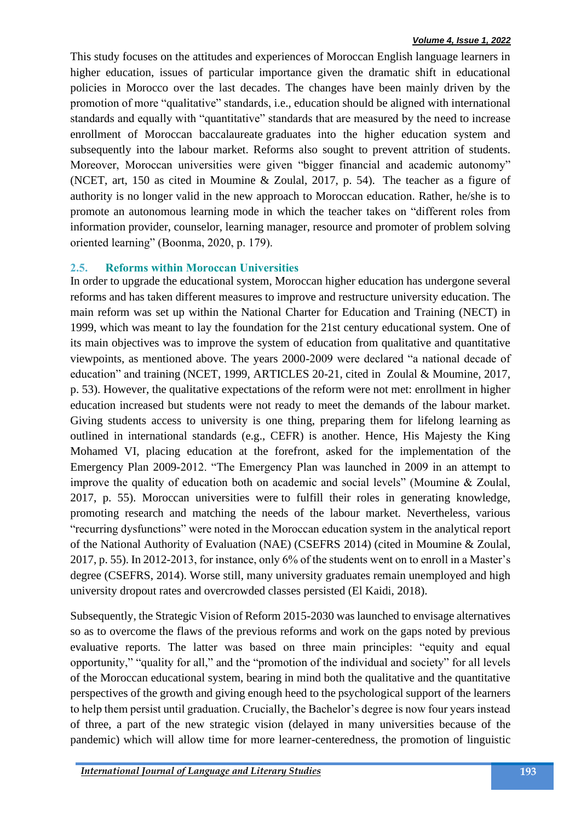This study focuses on the attitudes and experiences of Moroccan English language learners in higher education, issues of particular importance given the dramatic shift in educational policies in Morocco over the last decades. The changes have been mainly driven by the promotion of more "qualitative" standards, i.e., education should be aligned with international standards and equally with "quantitative" standards that are measured by the need to increase enrollment of Moroccan baccalaureate graduates into the higher education system and subsequently into the labour market. Reforms also sought to prevent attrition of students. Moreover, Moroccan universities were given "bigger financial and academic autonomy" (NCET, art, 150 as cited in Moumine & Zoulal, 2017, p. 54). The teacher as a figure of authority is no longer valid in the new approach to Moroccan education. Rather, he/she is to promote an autonomous learning mode in which the teacher takes on "different roles from information provider, counselor, learning manager, resource and promoter of problem solving oriented learning" (Boonma, 2020, p. 179).

## **2.5. Reforms within Moroccan Universities**

In order to upgrade the educational system, Moroccan higher education has undergone several reforms and has taken different measures to improve and restructure university education. The main reform was set up within the National Charter for Education and Training (NECT) in 1999, which was meant to lay the foundation for the 21st century educational system. One of its main objectives was to improve the system of education from qualitative and quantitative viewpoints, as mentioned above. The years 2000-2009 were declared "a national decade of education" and training (NCET, 1999, ARTICLES 20-21, cited in Zoulal & Moumine, 2017, p. 53). However, the qualitative expectations of the reform were not met: enrollment in higher education increased but students were not ready to meet the demands of the labour market. Giving students access to university is one thing, preparing them for lifelong learning as outlined in international standards (e.g., CEFR) is another. Hence, His Majesty the King Mohamed VI, placing education at the forefront, asked for the implementation of the Emergency Plan 2009-2012. "The Emergency Plan was launched in 2009 in an attempt to improve the quality of education both on academic and social levels" (Moumine & Zoulal, 2017, p. 55). Moroccan universities were to fulfill their roles in generating knowledge, promoting research and matching the needs of the labour market. Nevertheless, various "recurring dysfunctions" were noted in the Moroccan education system in the analytical report of the National Authority of Evaluation (NAE) (CSEFRS 2014) (cited in Moumine & Zoulal, 2017, p. 55). In 2012-2013, for instance, only 6% of the students went on to enroll in a Master's degree (CSEFRS, 2014). Worse still, many university graduates remain unemployed and high university dropout rates and overcrowded classes persisted (El Kaidi, 2018).

Subsequently, the Strategic Vision of Reform 2015-2030 was launched to envisage alternatives so as to overcome the flaws of the previous reforms and work on the gaps noted by previous evaluative reports. The latter was based on three main principles: "equity and equal opportunity," "quality for all," and the "promotion of the individual and society" for all levels of the Moroccan educational system, bearing in mind both the qualitative and the quantitative perspectives of the growth and giving enough heed to the psychological support of the learners to help them persist until graduation. Crucially, the Bachelor's degree is now four years instead of three, a part of the new strategic vision (delayed in many universities because of the pandemic) which will allow time for more learner-centeredness, the promotion of linguistic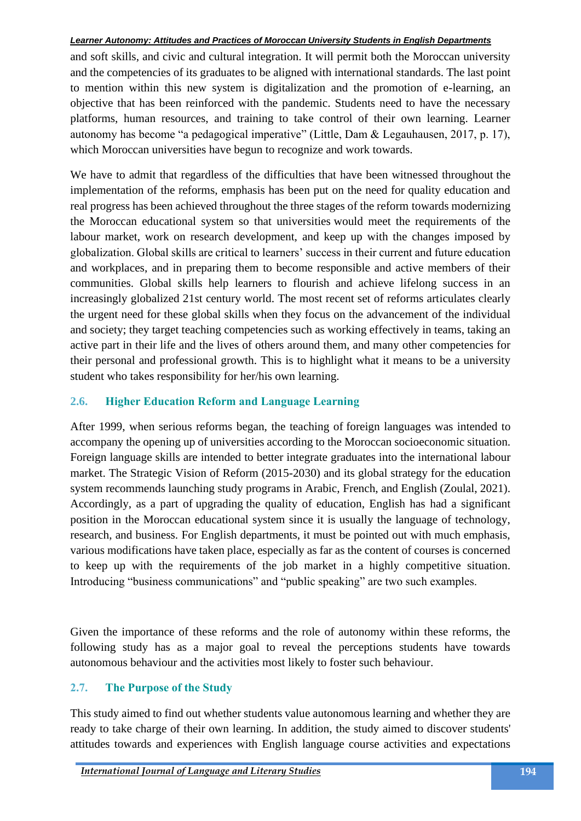and soft skills, and civic and cultural integration. It will permit both the Moroccan university and the competencies of its graduates to be aligned with international standards. The last point to mention within this new system is digitalization and the promotion of e-learning, an objective that has been reinforced with the pandemic. Students need to have the necessary platforms, human resources, and training to take control of their own learning. Learner autonomy has become "a pedagogical imperative" (Little, Dam & Legauhausen, 2017, p. 17), which Moroccan universities have begun to recognize and work towards.

We have to admit that regardless of the difficulties that have been witnessed throughout the implementation of the reforms, emphasis has been put on the need for quality education and real progress has been achieved throughout the three stages of the reform towards modernizing the Moroccan educational system so that universities would meet the requirements of the labour market, work on research development, and keep up with the changes imposed by globalization. Global skills are critical to learners' success in their current and future education and workplaces, and in preparing them to become responsible and active members of their communities. Global skills help learners to flourish and achieve lifelong success in an increasingly globalized 21st century world. The most recent set of reforms articulates clearly the urgent need for these global skills when they focus on the advancement of the individual and society; they target teaching competencies such as working effectively in teams, taking an active part in their life and the lives of others around them, and many other competencies for their personal and professional growth. This is to highlight what it means to be a university student who takes responsibility for her/his own learning.

## **2.6. Higher Education Reform and Language Learning**

After 1999, when serious reforms began, the teaching of foreign languages was intended to accompany the opening up of universities according to the Moroccan socioeconomic situation. Foreign language skills are intended to better integrate graduates into the international labour market. The Strategic Vision of Reform (2015-2030) and its global strategy for the education system recommends launching study programs in Arabic, French, and English (Zoulal, 2021). Accordingly, as a part of upgrading the quality of education, English has had a significant position in the Moroccan educational system since it is usually the language of technology, research, and business. For English departments, it must be pointed out with much emphasis, various modifications have taken place, especially as far as the content of courses is concerned to keep up with the requirements of the job market in a highly competitive situation. Introducing "business communications" and "public speaking" are two such examples.

Given the importance of these reforms and the role of autonomy within these reforms, the following study has as a major goal to reveal the perceptions students have towards autonomous behaviour and the activities most likely to foster such behaviour.

# **2.7. The Purpose of the Study**

This study aimed to find out whether students value autonomous learning and whether they are ready to take charge of their own learning. In addition, the study aimed to discover students' attitudes towards and experiences with English language course activities and expectations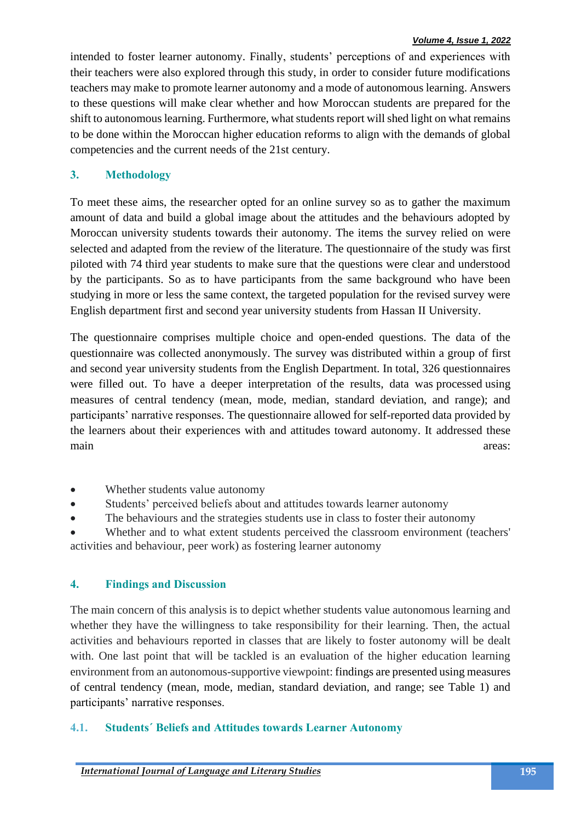#### *Volume 4, Issue 1, 2022*

intended to foster learner autonomy. Finally, students' perceptions of and experiences with their teachers were also explored through this study, in order to consider future modifications teachers may make to promote learner autonomy and a mode of autonomous learning. Answers to these questions will make clear whether and how Moroccan students are prepared for the shift to autonomous learning. Furthermore, what students report will shed light on what remains to be done within the Moroccan higher education reforms to align with the demands of global competencies and the current needs of the 21st century.

## **3. Methodology**

To meet these aims, the researcher opted for an online survey so as to gather the maximum amount of data and build a global image about the attitudes and the behaviours adopted by Moroccan university students towards their autonomy. The items the survey relied on were selected and adapted from the review of the literature. The questionnaire of the study was first piloted with 74 third year students to make sure that the questions were clear and understood by the participants. So as to have participants from the same background who have been studying in more or less the same context, the targeted population for the revised survey were English department first and second year university students from Hassan II University.

The questionnaire comprises multiple choice and open-ended questions. The data of the questionnaire was collected anonymously. The survey was distributed within a group of first and second year university students from the English Department. In total, 326 questionnaires were filled out. To have a deeper interpretation of the results, data was processed using measures of central tendency (mean, mode, median, standard deviation, and range); and participants' narrative responses. The questionnaire allowed for self-reported data provided by the learners about their experiences with and attitudes toward autonomy. It addressed these main areas: the contract of the contract of the contract of the contract of the contract of the contract of the contract of the contract of the contract of the contract of the contract of the contract of the contract of th

- Whether students value autonomy
- Students' perceived beliefs about and attitudes towards learner autonomy
- The behaviours and the strategies students use in class to foster their autonomy

Whether and to what extent students perceived the classroom environment (teachers' activities and behaviour, peer work) as fostering learner autonomy

#### **4. Findings and Discussion**

The main concern of this analysis is to depict whether students value autonomous learning and whether they have the willingness to take responsibility for their learning. Then, the actual activities and behaviours reported in classes that are likely to foster autonomy will be dealt with. One last point that will be tackled is an evaluation of the higher education learning environment from an autonomous-supportive viewpoint: findings are presented using measures of central tendency (mean, mode, median, standard deviation, and range; see Table 1) and participants' narrative responses.

#### **4.1. Students´ Beliefs and Attitudes towards Learner Autonomy**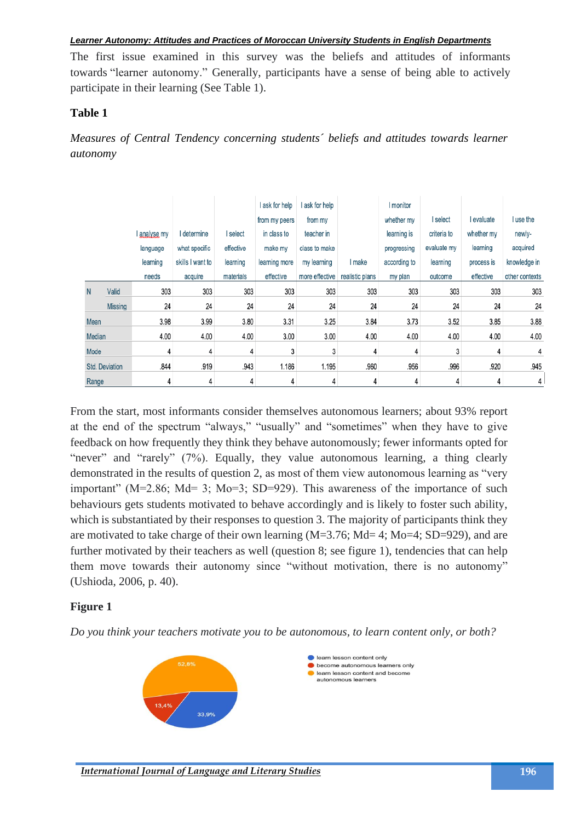The first issue examined in this survey was the beliefs and attitudes of informants towards "learner autonomy." Generally, participants have a sense of being able to actively participate in their learning (See Table 1).

### **Table 1**

*Measures of Central Tendency concerning students´ beliefs and attitudes towards learner autonomy*

|                |                |              |                  |           | l ask for help | ask for help   |                 | I monitor    |             |            |                |
|----------------|----------------|--------------|------------------|-----------|----------------|----------------|-----------------|--------------|-------------|------------|----------------|
|                |                |              |                  |           | from my peers  | from my        |                 | whether my   | I select    | I evaluate | I use the      |
|                |                | l analyse my | I determine      | I select  | in class to    | teacher in     |                 | learning is  | criteria to | whether my | newly-         |
|                |                | language     | what specific    | effective | make my        | class to make  |                 | progressing  | evaluate my | learning   | acquired       |
|                |                | learning     | skills I want to | learning  | learning more  | my learning    | I make          | according to | learning    | process is | knowledge in   |
|                |                | needs        | acquire          | materials | effective      | more effective | realistic plans | my plan      | outcome     | effective  | other contexts |
| N              | Valid          | 303          | 303              | 303       | 303            | 303            | 303             | 303          | 303         | 303        | 303            |
|                | <b>Missing</b> | 24           | 24               | 24        | 24             | 24             | 24              | 24           | 24          | 24         | 24             |
| Mean           |                | 3.98         | 3.99             | 3.80      | 3.31           | 3.25           | 3.84            | 3.73         | 3.52        | 3.85       | 3.88           |
| Median         |                | 4.00         | 4.00             | 4.00      | 3.00           | 3.00           | 4.00            | 4.00         | 4.00        | 4.00       | 4.00           |
| Mode           |                | 4            | 4                | 4         | 3              | 3              | 4               | 4            | 3           | 4          | 4              |
| Std. Deviation |                | .844         | .919             | .943      | 1.186          | 1.195          | .960            | .956         | .996        | .920       | .945           |
| Range          |                | 4            | 4                | 4         | 4              | 4              | 4               | 4            | 4           | 4          | 4              |

From the start, most informants consider themselves autonomous learners; about 93% report at the end of the spectrum "always," "usually" and "sometimes" when they have to give feedback on how frequently they think they behave autonomously; fewer informants opted for "never" and "rarely" (7%). Equally, they value autonomous learning, a thing clearly demonstrated in the results of question 2, as most of them view autonomous learning as "very important" (M=2.86; Md= 3; Mo=3; SD=929). This awareness of the importance of such behaviours gets students motivated to behave accordingly and is likely to foster such ability, which is substantiated by their responses to question 3. The majority of participants think they are motivated to take charge of their own learning (M=3.76; Md= 4; Mo=4; SD=929), and are further motivated by their teachers as well (question 8; see figure 1), tendencies that can help them move towards their autonomy since "without motivation, there is no autonomy" (Ushioda, 2006, p. 40).

## **Figure 1**

*Do you think your teachers motivate you to be autonomous, to learn content only, or both?*

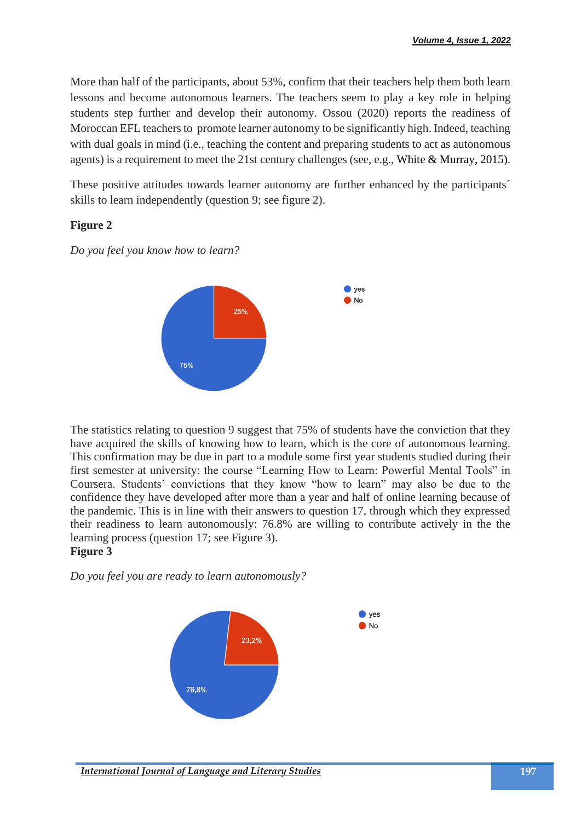More than half of the participants, about 53%, confirm that their teachers help them both learn lessons and become autonomous learners. The teachers seem to play a key role in helping students step further and develop their autonomy. Ossou (2020) reports the readiness of Moroccan EFL teachers to promote learner autonomy to be significantly high. Indeed, teaching with dual goals in mind (i.e., teaching the content and preparing students to act as autonomous agents) is a requirement to meet the 21st century challenges (see, e.g., White & Murray, 2015).

These positive attitudes towards learner autonomy are further enhanced by the participants<sup>'</sup> skills to learn independently (question 9; see figure 2).

## **Figure 2**

*Do you feel you know how to learn?*



The statistics relating to question 9 suggest that 75% of students have the conviction that they have acquired the skills of knowing how to learn, which is the core of autonomous learning. This confirmation may be due in part to a module some first year students studied during their first semester at university: the course "Learning How to Learn: Powerful Mental Tools" in Coursera. Students' convictions that they know "how to learn" may also be due to the confidence they have developed after more than a year and half of online learning because of the pandemic. This is in line with their answers to question 17, through which they expressed their readiness to learn autonomously: 76.8% are willing to contribute actively in the the learning process (question 17; see Figure 3). **Figure 3**

*Do you feel you are ready to learn autonomously?*

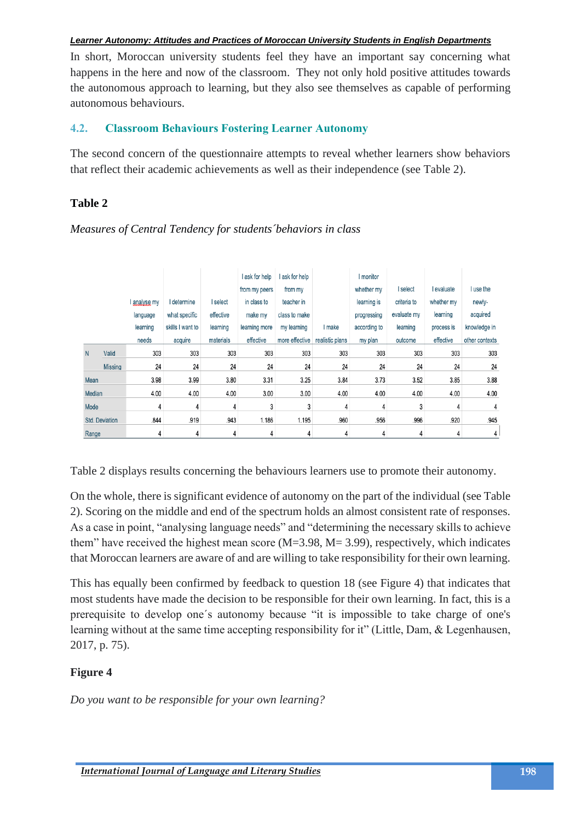In short, Moroccan university students feel they have an important say concerning what happens in the here and now of the classroom. They not only hold positive attitudes towards the autonomous approach to learning, but they also see themselves as capable of performing autonomous behaviours.

### **4.2. Classroom Behaviours Fostering Learner Autonomy**

The second concern of the questionnaire attempts to reveal whether learners show behaviors that reflect their academic achievements as well as their independence (see Table 2).

### **Table 2**

*Measures of Central Tendency for students´behaviors in class*

|                       |                |            |                  |           | I ask for help | ask for help   |                 | <b>I</b> monitor |             |            |                |
|-----------------------|----------------|------------|------------------|-----------|----------------|----------------|-----------------|------------------|-------------|------------|----------------|
|                       |                |            |                  |           | from my peers  | from my        |                 | whether my       | I select    | I evaluate | I use the      |
|                       |                | analyse my | I determine      | I select  | in class to    | teacher in     |                 | learning is      | criteria to | whether my | newly-         |
|                       |                | language   | what specific    | effective | make my        | class to make  |                 | progressing      | evaluate my | learning   | acquired       |
|                       |                | learning   | skills I want to | learning  | learning more  | my learning    | I make          | according to     | learning    | process is | knowledge in   |
|                       |                | needs      | acquire          | materials | effective      | more effective | realistic plans | my plan          | outcome     | effective  | other contexts |
| N                     | Valid          | 303        | 303              | 303       | 303            | 303            | 303             | 303              | 303         | 303        | 303            |
|                       | <b>Missing</b> | 24         | 24               | 24        | 24             | 24             | 24              | 24               | 24          | 24         | 24             |
| Mean                  |                | 3.98       | 3.99             | 3.80      | 3.31           | 3.25           | 3.84            | 3.73             | 3.52        | 3.85       | 3.88           |
| Median                |                | 4.00       | 4.00             | 4.00      | 3.00           | 3.00           | 4.00            | 4.00             | 4.00        | 4.00       | 4.00           |
| Mode                  |                | 4          | 4                | 4         | 3              | 3              | 4               | 4                | 3           | 4          | 4              |
| <b>Std. Deviation</b> |                | .844       | .919             | .943      | 1.186          | 1.195          | .960            | .956             | .996        | .920       | .945           |
| Range                 |                | 4          | 4                | 4         | 4              | 4              | 4               | 4                | 4           | 4          | 4              |

Table 2 displays results concerning the behaviours learners use to promote their autonomy.

On the whole, there is significant evidence of autonomy on the part of the individual (see Table 2). Scoring on the middle and end of the spectrum holds an almost consistent rate of responses. As a case in point, "analysing language needs" and "determining the necessary skills to achieve them" have received the highest mean score  $(M=3.98, M=3.99)$ , respectively, which indicates that Moroccan learners are aware of and are willing to take responsibility for their own learning.

This has equally been confirmed by feedback to question 18 (see Figure 4) that indicates that most students have made the decision to be responsible for their own learning. In fact, this is a prerequisite to develop one´s autonomy because "it is impossible to take charge of one's learning without at the same time accepting responsibility for it" (Little, Dam, & Legenhausen, 2017, p. 75).

# **Figure 4**

*Do you want to be responsible for your own learning?*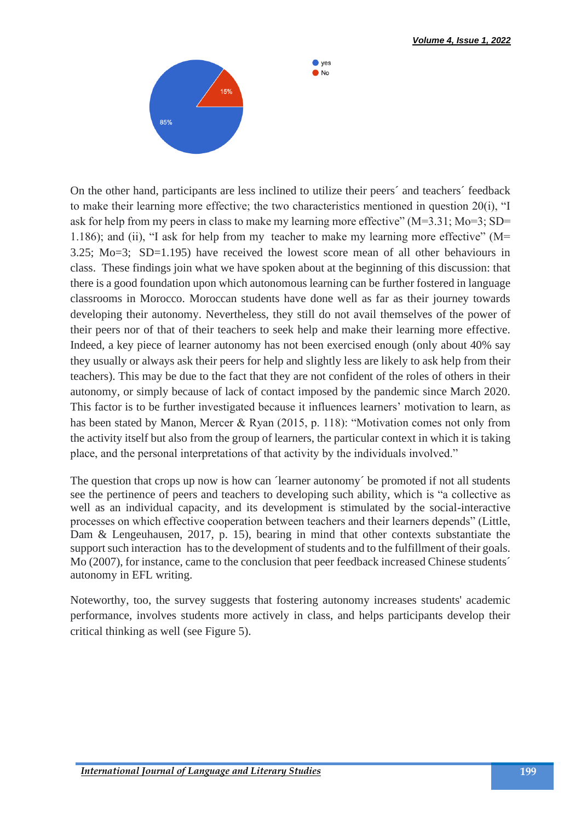

On the other hand, participants are less inclined to utilize their peers´ and teachers´ feedback to make their learning more effective; the two characteristics mentioned in question 20(i), "I ask for help from my peers in class to make my learning more effective" (M=3.31; Mo=3; SD= 1.186); and (ii), "I ask for help from my teacher to make my learning more effective" (M= 3.25; Mo=3; SD=1.195) have received the lowest score mean of all other behaviours in class. These findings join what we have spoken about at the beginning of this discussion: that there is a good foundation upon which autonomous learning can be further fostered in language classrooms in Morocco. Moroccan students have done well as far as their journey towards developing their autonomy. Nevertheless, they still do not avail themselves of the power of their peers nor of that of their teachers to seek help and make their learning more effective. Indeed, a key piece of learner autonomy has not been exercised enough (only about 40% say they usually or always ask their peers for help and slightly less are likely to ask help from their teachers). This may be due to the fact that they are not confident of the roles of others in their autonomy, or simply because of lack of contact imposed by the pandemic since March 2020. This factor is to be further investigated because it influences learners' motivation to learn, as has been stated by Manon, Mercer & Ryan (2015, p. 118): "Motivation comes not only from the activity itself but also from the group of learners, the particular context in which it is taking place, and the personal interpretations of that activity by the individuals involved."

 $\bullet$  ves  $\bullet$  No

The question that crops up now is how can *'learner autonomy'* be promoted if not all students see the pertinence of peers and teachers to developing such ability, which is "a collective as well as an individual capacity, and its development is stimulated by the social-interactive processes on which effective cooperation between teachers and their learners depends" (Little, Dam & Lengeuhausen, 2017, p. 15), bearing in mind that other contexts substantiate the support such interaction has to the development of students and to the fulfillment of their goals. Mo (2007), for instance, came to the conclusion that peer feedback increased Chinese students<sup>\*</sup> autonomy in EFL writing.

Noteworthy, too, the survey suggests that fostering autonomy increases students' academic performance, involves students more actively in class, and helps participants develop their critical thinking as well (see Figure 5).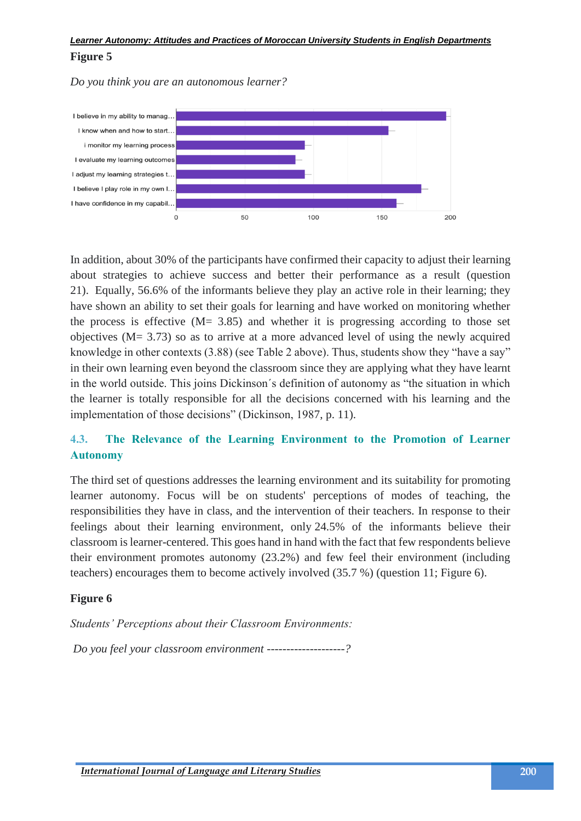**Figure 5** 

*Do you think you are an autonomous learner?* 



In addition, about 30% of the participants have confirmed their capacity to adjust their learning about strategies to achieve success and better their performance as a result (question 21). Equally, 56.6% of the informants believe they play an active role in their learning; they have shown an ability to set their goals for learning and have worked on monitoring whether the process is effective  $(M = 3.85)$  and whether it is progressing according to those set objectives (M= 3.73) so as to arrive at a more advanced level of using the newly acquired knowledge in other contexts (3.88) (see Table 2 above). Thus, students show they "have a say" in their own learning even beyond the classroom since they are applying what they have learnt in the world outside. This joins Dickinson´s definition of autonomy as "the situation in which the learner is totally responsible for all the decisions concerned with his learning and the implementation of those decisions" (Dickinson, 1987, p. 11).

# **4.3. The Relevance of the Learning Environment to the Promotion of Learner Autonomy**

The third set of questions addresses the learning environment and its suitability for promoting learner autonomy. Focus will be on students' perceptions of modes of teaching, the responsibilities they have in class, and the intervention of their teachers. In response to their feelings about their learning environment, only 24.5% of the informants believe their classroom is learner-centered. This goes hand in hand with the fact that few respondents believe their environment promotes autonomy (23.2%) and few feel their environment (including teachers) encourages them to become actively involved (35.7 %) (question 11; Figure 6).

## **Figure 6**

*Students' Perceptions about their Classroom Environments:*

*Do you feel your classroom environment --------------------?*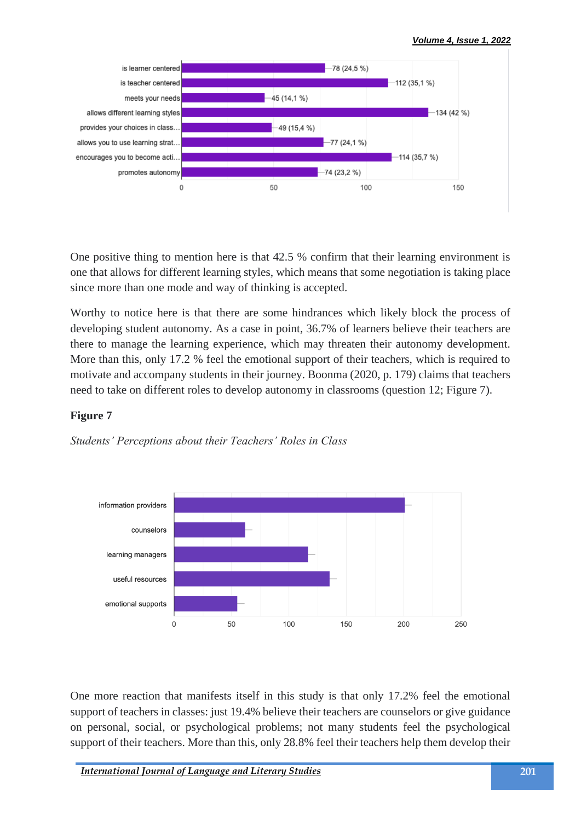

One positive thing to mention here is that 42.5 % confirm that their learning environment is one that allows for different learning styles, which means that some negotiation is taking place since more than one mode and way of thinking is accepted.

Worthy to notice here is that there are some hindrances which likely block the process of developing student autonomy. As a case in point, 36.7% of learners believe their teachers are there to manage the learning experience, which may threaten their autonomy development. More than this, only 17.2 % feel the emotional support of their teachers, which is required to motivate and accompany students in their journey. Boonma (2020, p. 179) claims that teachers need to take on different roles to develop autonomy in classrooms (question 12; Figure 7).

## **Figure 7**

*Students' Perceptions about their Teachers' Roles in Class*



One more reaction that manifests itself in this study is that only 17.2% feel the emotional support of teachers in classes: just 19.4% believe their teachers are counselors or give guidance on personal, social, or psychological problems; not many students feel the psychological support of their teachers. More than this, only 28.8% feel their teachers help them develop their

*International Journal of Language and Literary Studies* **201**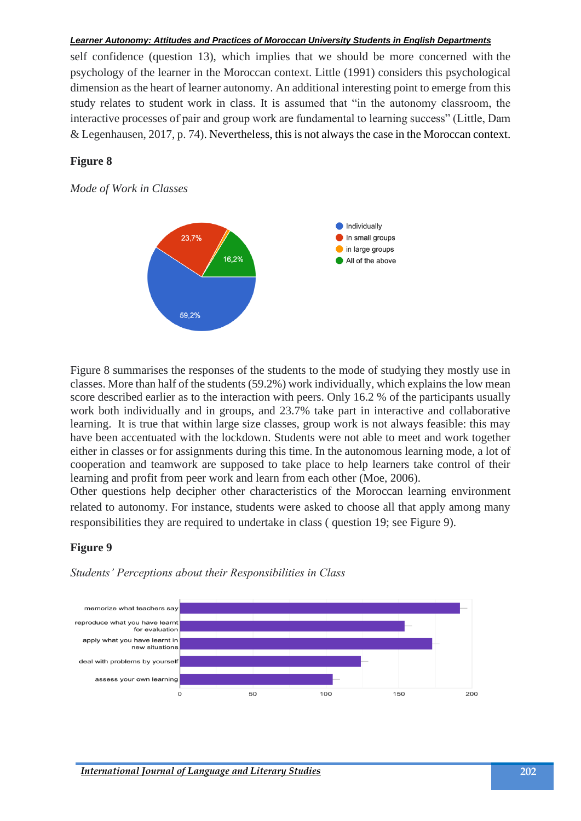self confidence (question 13), which implies that we should be more concerned with the psychology of the learner in the Moroccan context. Little (1991) considers this psychological dimension as the heart of learner autonomy. An additional interesting point to emerge from this study relates to student work in class. It is assumed that "in the autonomy classroom, the interactive processes of pair and group work are fundamental to learning success" (Little, Dam & Legenhausen, 2017, p. 74). Nevertheless, this is not always the case in the Moroccan context.

#### **Figure 8**

*Mode of Work in Classes*



Figure 8 summarises the responses of the students to the mode of studying they mostly use in classes. More than half of the students (59.2%) work individually, which explains the low mean score described earlier as to the interaction with peers. Only 16.2 % of the participants usually work both individually and in groups, and 23.7% take part in interactive and collaborative learning. It is true that within large size classes, group work is not always feasible: this may have been accentuated with the lockdown. Students were not able to meet and work together either in classes or for assignments during this time. In the autonomous learning mode, a lot of cooperation and teamwork are supposed to take place to help learners take control of their learning and profit from peer work and learn from each other (Moe, 2006).

Other questions help decipher other characteristics of the Moroccan learning environment related to autonomy. For instance, students were asked to choose all that apply among many responsibilities they are required to undertake in class ( question 19; see Figure 9).

#### **Figure 9**



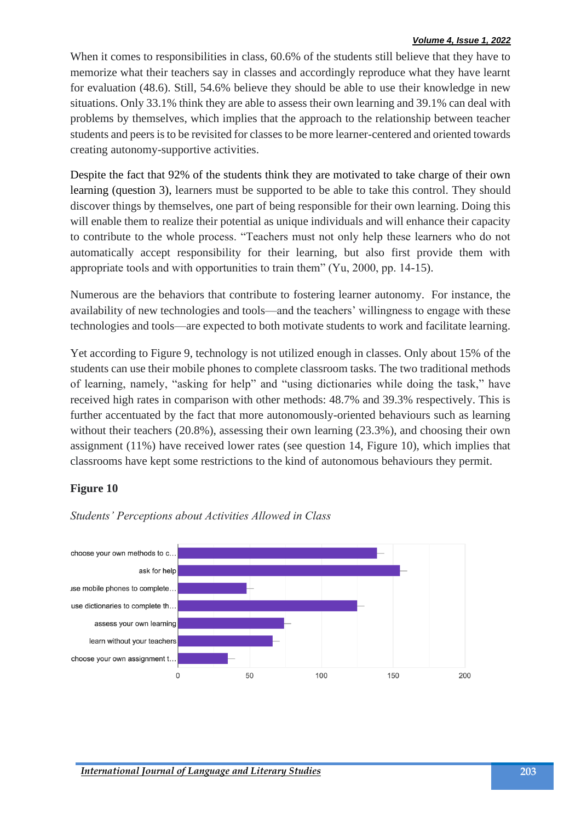#### *Volume 4, Issue 1, 2022*

When it comes to responsibilities in class,  $60.6\%$  of the students still believe that they have to memorize what their teachers say in classes and accordingly reproduce what they have learnt for evaluation (48.6). Still, 54.6% believe they should be able to use their knowledge in new situations. Only 33.1% think they are able to assess their own learning and 39.1% can deal with problems by themselves, which implies that the approach to the relationship between teacher students and peers is to be revisited for classes to be more learner-centered and oriented towards creating autonomy-supportive activities.

Despite the fact that 92% of the students think they are motivated to take charge of their own learning (question 3), learners must be supported to be able to take this control. They should discover things by themselves, one part of being responsible for their own learning. Doing this will enable them to realize their potential as unique individuals and will enhance their capacity to contribute to the whole process. "Teachers must not only help these learners who do not automatically accept responsibility for their learning, but also first provide them with appropriate tools and with opportunities to train them" (Yu, 2000, pp. 14-15).

Numerous are the behaviors that contribute to fostering learner autonomy. For instance, the availability of new technologies and tools—and the teachers' willingness to engage with these technologies and tools—are expected to both motivate students to work and facilitate learning.

Yet according to Figure 9, technology is not utilized enough in classes. Only about 15% of the students can use their mobile phones to complete classroom tasks. The two traditional methods of learning, namely, "asking for help" and "using dictionaries while doing the task," have received high rates in comparison with other methods: 48.7% and 39.3% respectively. This is further accentuated by the fact that more autonomously-oriented behaviours such as learning without their teachers (20.8%), assessing their own learning (23.3%), and choosing their own assignment (11%) have received lower rates (see question 14, Figure 10), which implies that classrooms have kept some restrictions to the kind of autonomous behaviours they permit.

#### **Figure 10**



#### *Students' Perceptions about Activities Allowed in Class*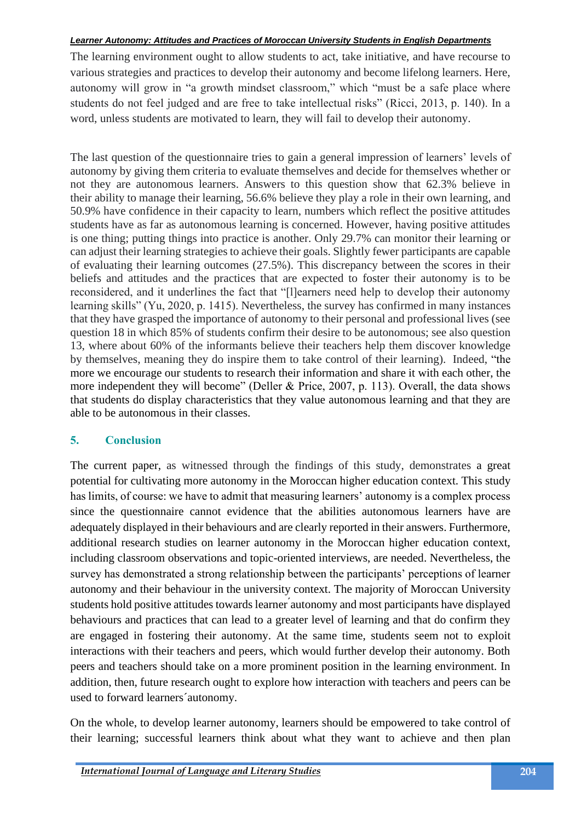The learning environment ought to allow students to act, take initiative, and have recourse to various strategies and practices to develop their autonomy and become lifelong learners. Here, autonomy will grow in "a growth mindset classroom," which "must be a safe place where students do not feel judged and are free to take intellectual risks" (Ricci, 2013, p. 140). In a word, unless students are motivated to learn, they will fail to develop their autonomy.

The last question of the questionnaire tries to gain a general impression of learners' levels of autonomy by giving them criteria to evaluate themselves and decide for themselves whether or not they are autonomous learners. Answers to this question show that 62.3% believe in their ability to manage their learning, 56.6% believe they play a role in their own learning, and 50.9% have confidence in their capacity to learn, numbers which reflect the positive attitudes students have as far as autonomous learning is concerned. However, having positive attitudes is one thing; putting things into practice is another. Only 29.7% can monitor their learning or can adjust their learning strategies to achieve their goals. Slightly fewer participants are capable of evaluating their learning outcomes (27.5%). This discrepancy between the scores in their beliefs and attitudes and the practices that are expected to foster their autonomy is to be reconsidered, and it underlines the fact that "[l]earners need help to develop their autonomy learning skills" (Yu, 2020, p. 1415). Nevertheless, the survey has confirmed in many instances that they have grasped the importance of autonomy to their personal and professional lives (see question 18 in which 85% of students confirm their desire to be autonomous; see also question 13, where about 60% of the informants believe their teachers help them discover knowledge by themselves, meaning they do inspire them to take control of their learning). Indeed, "the more we encourage our students to research their information and share it with each other, the more independent they will become" (Deller & Price, 2007, p. 113). Overall, the data shows that students do display characteristics that they value autonomous learning and that they are able to be autonomous in their classes.

## **5. Conclusion**

The current paper, as witnessed through the findings of this study, demonstrates a great potential for cultivating more autonomy in the Moroccan higher education context. This study has limits, of course: we have to admit that measuring learners' autonomy is a complex process since the questionnaire cannot evidence that the abilities autonomous learners have are adequately displayed in their behaviours and are clearly reported in their answers. Furthermore, additional research studies on learner autonomy in the Moroccan higher education context, including classroom observations and topic-oriented interviews, are needed. Nevertheless, the survey has demonstrated a strong relationship between the participants' perceptions of learner autonomy and their behaviour in the university context. The majority of Moroccan University students hold positive attitudes towards learner ́autonomy and most participants have displayed behaviours and practices that can lead to a greater level of learning and that do confirm they are engaged in fostering their autonomy. At the same time, students seem not to exploit interactions with their teachers and peers, which would further develop their autonomy. Both peers and teachers should take on a more prominent position in the learning environment. In addition, then, future research ought to explore how interaction with teachers and peers can be used to forward learners´autonomy.

On the whole, to develop learner autonomy, learners should be empowered to take control of their learning; successful learners think about what they want to achieve and then plan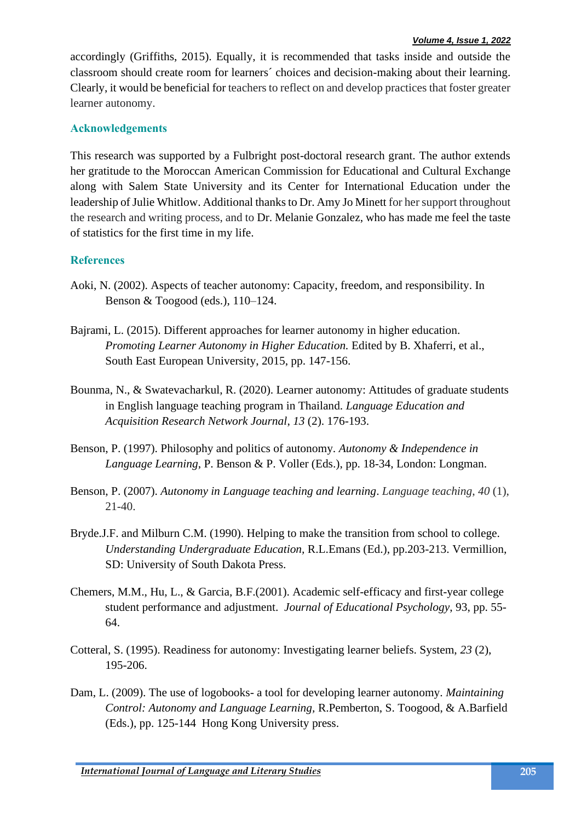accordingly (Griffiths, 2015). Equally, it is recommended that tasks inside and outside the classroom should create room for learners´ choices and decision-making about their learning. Clearly, it would be beneficial for teachers to reflect on and develop practices that foster greater learner autonomy.

#### **Acknowledgements**

This research was supported by a Fulbright post-doctoral research grant. The author extends her gratitude to the Moroccan American Commission for Educational and Cultural Exchange along with Salem State University and its Center for International Education under the leadership of Julie Whitlow. Additional thanks to Dr. Amy Jo Minett for her support throughout the research and writing process, and to Dr. Melanie Gonzalez, who has made me feel the taste of statistics for the first time in my life.

#### **References**

- Aoki, N. (2002). Aspects of teacher autonomy: Capacity, freedom, and responsibility. In Benson & Toogood (eds.), 110–124.
- Bajrami, L. (2015). Different approaches for learner autonomy in higher education. *Promoting Learner Autonomy in Higher Education.* Edited by B. Xhaferri, et al., South East European University, 2015, pp. 147-156.
- Bounma, N., & Swatevacharkul, R. (2020). Learner autonomy: Attitudes of graduate students in English language teaching program in Thailand. *Language Education and Acquisition Research Network Journal*, *13* (2). 176-193.
- Benson, P. (1997). Philosophy and politics of autonomy. *Autonomy & Independence in Language Learning*, P. Benson & P. Voller (Eds.), pp. 18-34, London: Longman.
- Benson, P. (2007). *Autonomy in Language teaching and learning*. *Language teaching*, *40* (1), 21-40.
- Bryde.J.F. and Milburn C.M. (1990). Helping to make the transition from school to college. *Understanding Undergraduate Education,* R.L.Emans (Ed.), pp.203-213. Vermillion, SD: University of South Dakota Press.
- Chemers, M.M., Hu, L., & Garcia, B.F.(2001). Academic self-efficacy and first-year college student performance and adjustment. *Journal of Educational Psychology*, 93, pp. 55- 64.
- Cotteral, S. (1995). Readiness for autonomy: Investigating learner beliefs. System, *23* (2), 195-206.
- Dam, L. (2009). The use of logobooks- a tool for developing learner autonomy. *Maintaining Control: Autonomy and Language Learning,* R.Pemberton, S. Toogood, & A.Barfield (Eds.), pp. 125-144 Hong Kong University press.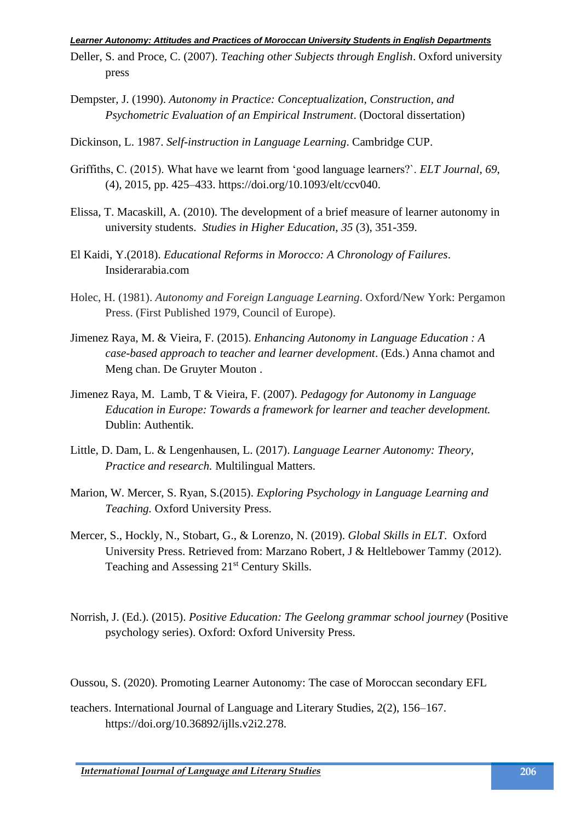- Deller, S. and Proce, C. (2007). *Teaching other Subjects through English*. Oxford university press
- Dempster, J. (1990). *Autonomy in Practice: Conceptualization, Construction, and Psychometric Evaluation of an Empirical Instrument*. (Doctoral dissertation)
- Dickinson, L. 1987. *Self-instruction in Language Learning*. Cambridge CUP.
- Griffiths, C. (2015). What have we learnt from 'good language learners?`. *ELT Journal*, *69*, (4), 2015, pp. 425–433. https://doi.org/10.1093/elt/ccv040.
- Elissa, T. Macaskill, A. (2010). The development of a brief measure of learner autonomy in university students. *Studies in Higher Education*, *35* (3), 351-359.
- El Kaidi, Y.(2018). *Educational Reforms in Morocco: A Chronology of Failures*. Insiderarabia.com
- Holec, H. (1981). *Autonomy and Foreign Language Learning*. Oxford/New York: Pergamon Press. (First Published 1979, Council of Europe).
- Jimenez Raya, M. & Vieira, F. (2015). *Enhancing Autonomy in Language Education : A case-based approach to teacher and learner development*. (Eds.) Anna chamot and Meng chan. De Gruyter Mouton .
- Jimenez Raya, M. Lamb, T & Vieira, F. (2007). *Pedagogy for Autonomy in Language Education in Europe: Towards a framework for learner and teacher development.* Dublin: Authentik.
- Little, D. Dam, L. & Lengenhausen, L. (2017). *Language Learner Autonomy: Theory, Practice and research.* Multilingual Matters.
- Marion, W. Mercer, S. Ryan, S.(2015). *Exploring Psychology in Language Learning and Teaching.* Oxford University Press.
- Mercer, S., Hockly, N., Stobart, G., & Lorenzo, N. (2019). *Global Skills in ELT*. Oxford University Press. Retrieved from: Marzano Robert, J & Heltlebower Tammy (2012). Teaching and Assessing 21<sup>st</sup> Century Skills.
- Norrish, J. (Ed.). (2015). *Positive Education: The Geelong grammar school journey* (Positive psychology series). Oxford: Oxford University Press.

Oussou, S. (2020). Promoting Learner Autonomy: The case of Moroccan secondary EFL

teachers. International Journal of Language and Literary Studies, 2(2), 156–167. https://doi.org/10.36892/ijlls.v2i2.278.